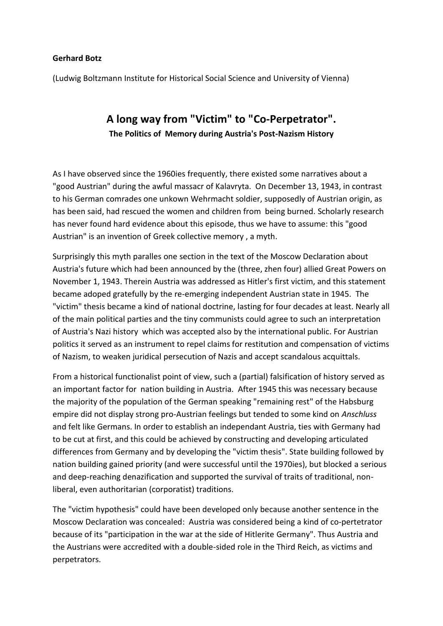## **Gerhard Botz**

(Ludwig Boltzmann Institute for Historical Social Science and University of Vienna)

## **A long way from "Victim" to "Co-Perpetrator". The Politics of Memory during Austria's Post-Nazism History**

As I have observed since the 1960ies frequently, there existed some narratives about a "good Austrian" during the awful massacr of Kalavryta. On December 13, 1943, in contrast to his German comrades one unkown Wehrmacht soldier, supposedly of Austrian origin, as has been said, had rescued the women and children from being burned. Scholarly research has never found hard evidence about this episode, thus we have to assume: this "good Austrian" is an invention of Greek collective memory , a myth.

Surprisingly this myth paralles one section in the text of the Moscow Declaration about Austria's future which had been announced by the (three, zhen four) allied Great Powers on November 1, 1943. Therein Austria was addressed as Hitler's first victim, and this statement became adoped gratefully by the re-emerging independent Austrian state in 1945. The "victim" thesis became a kind of national doctrine, lasting for four decades at least. Nearly all of the main political parties and the tiny communists could agree to such an interpretation of Austria's Nazi history which was accepted also by the international public. For Austrian politics it served as an instrument to repel claims for restitution and compensation of victims of Nazism, to weaken juridical persecution of Nazis and accept scandalous acquittals.

From a historical functionalist point of view, such a (partial) falsification of history served as an important factor for nation building in Austria. After 1945 this was necessary because the majority of the population of the German speaking "remaining rest" of the Habsburg empire did not display strong pro-Austrian feelings but tended to some kind on *Anschluss* and felt like Germans. In order to establish an independant Austria, ties with Germany had to be cut at first, and this could be achieved by constructing and developing articulated differences from Germany and by developing the "victim thesis". State building followed by nation building gained priority (and were successful until the 1970ies), but blocked a serious and deep-reaching denazification and supported the survival of traits of traditional, nonliberal, even authoritarian (corporatist) traditions.

The "victim hypothesis" could have been developed only because another sentence in the Moscow Declaration was concealed: Austria was considered being a kind of co-pertetrator because of its "participation in the war at the side of Hitlerite Germany". Thus Austria and the Austrians were accredited with a double-sided role in the Third Reich, as victims and perpetrators.